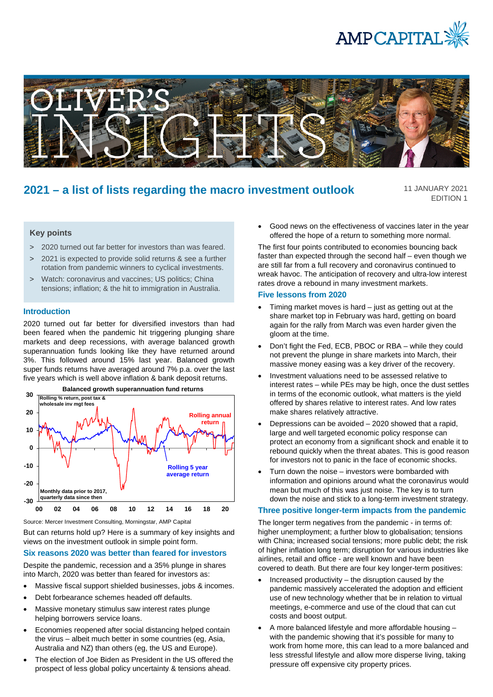



# **2021 – a list of lists regarding the macro investment outlook**

11 JANUARY 2021 EDITION 1

# **Key points**

- > 2020 turned out far better for investors than was feared.
- > 2021 is expected to provide solid returns & see a further rotation from pandemic winners to cyclical investments.
- > Watch: coronavirus and vaccines; US politics; China tensions; inflation; & the hit to immigration in Australia.

# **Introduction**

2020 turned out far better for diversified investors than had been feared when the pandemic hit triggering plunging share markets and deep recessions, with average balanced growth superannuation funds looking like they have returned around 3%. This followed around 15% last year. Balanced growth super funds returns have averaged around 7% p.a. over the last five years which is well above inflation & bank deposit returns.



Source: Mercer Investment Consulting, Morningstar, AMP Capital

But can returns hold up? Here is a summary of key insights and views on the investment outlook in simple point form.

### **Six reasons 2020 was better than feared for investors**

Despite the pandemic, recession and a 35% plunge in shares into March, 2020 was better than feared for investors as:

- Massive fiscal support shielded businesses, jobs & incomes.
- Debt forbearance schemes headed off defaults.
- Massive monetary stimulus saw interest rates plunge helping borrowers service loans.
- Economies reopened after social distancing helped contain the virus – albeit much better in some countries (eg, Asia, Australia and NZ) than others (eg, the US and Europe).
- The election of Joe Biden as President in the US offered the prospect of less global policy uncertainty & tensions ahead.

Good news on the effectiveness of vaccines later in the year offered the hope of a return to something more normal.

The first four points contributed to economies bouncing back faster than expected through the second half – even though we are still far from a full recovery and coronavirus continued to wreak havoc. The anticipation of recovery and ultra-low interest rates drove a rebound in many investment markets.

#### **Five lessons from 2020**

- Timing market moves is hard just as getting out at the share market top in February was hard, getting on board again for the rally from March was even harder given the gloom at the time.
- Don't fight the Fed, ECB, PBOC or RBA while they could not prevent the plunge in share markets into March, their massive money easing was a key driver of the recovery.
- Investment valuations need to be assessed relative to interest rates – while PEs may be high, once the dust settles in terms of the economic outlook, what matters is the yield offered by shares relative to interest rates. And low rates make shares relatively attractive.
- Depressions can be avoided  $-2020$  showed that a rapid, large and well targeted economic policy response can protect an economy from a significant shock and enable it to rebound quickly when the threat abates. This is good reason for investors not to panic in the face of economic shocks.
- Turn down the noise  $-$  investors were bombarded with information and opinions around what the coronavirus would mean but much of this was just noise. The key is to turn down the noise and stick to a long-term investment strategy.

#### **Three positive longer-term impacts from the pandemic**

The longer term negatives from the pandemic - in terms of: higher unemployment; a further blow to globalisation; tensions with China; increased social tensions; more public debt; the risk of higher inflation long term; disruption for various industries like airlines, retail and office - are well known and have been covered to death. But there are four key longer-term positives:

- Increased productivity  $-$  the disruption caused by the pandemic massively accelerated the adoption and efficient use of new technology whether that be in relation to virtual meetings, e-commerce and use of the cloud that can cut costs and boost output.
- A more balanced lifestyle and more affordable housing with the pandemic showing that it's possible for many to work from home more, this can lead to a more balanced and less stressful lifestyle and allow more disperse living, taking pressure off expensive city property prices.